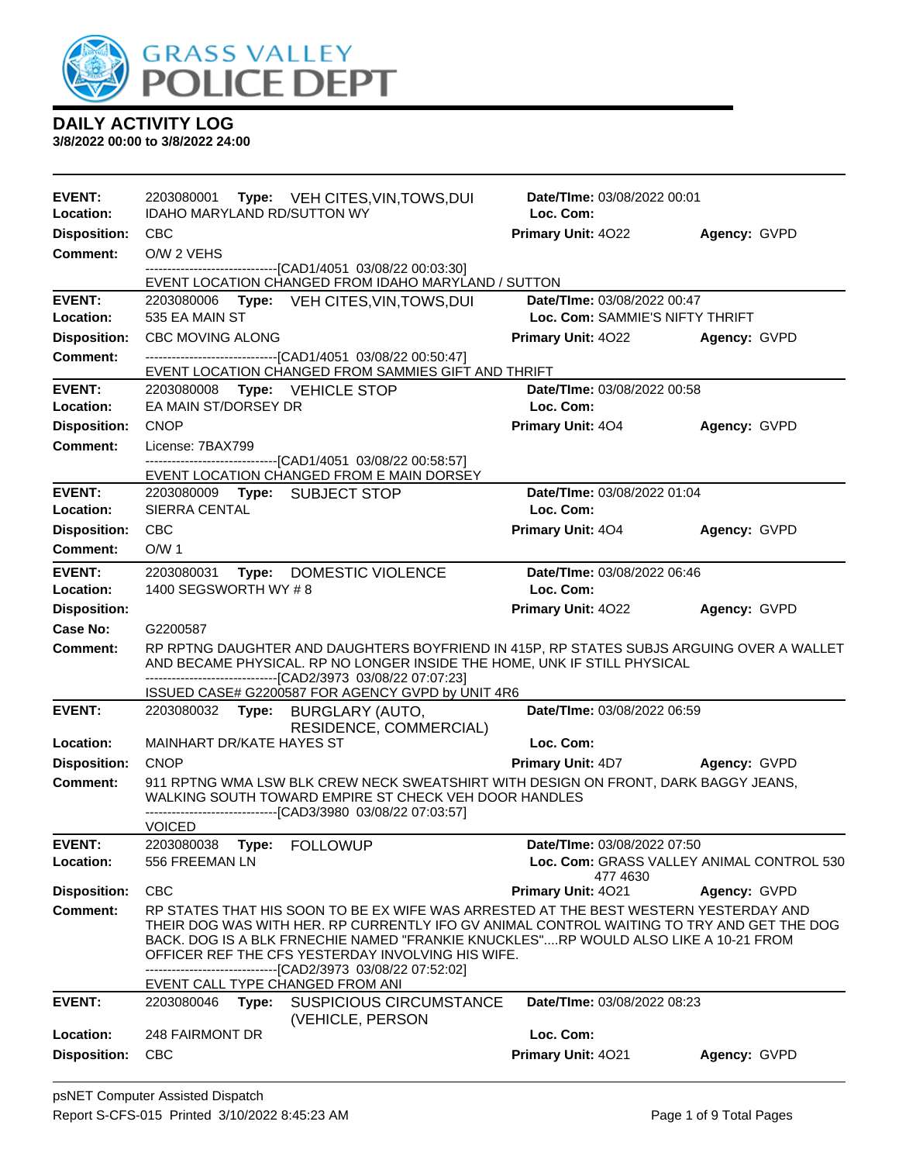

| <b>EVENT:</b><br>Location:             | 2203080001 Type: VEH CITES, VIN, TOWS, DUI<br>IDAHO MARYLAND RD/SUTTON WY                                             | <b>Date/Time: 03/08/2022 00:01</b><br>Loc. Com:                                                                                                                                                                                                                          |                                           |
|----------------------------------------|-----------------------------------------------------------------------------------------------------------------------|--------------------------------------------------------------------------------------------------------------------------------------------------------------------------------------------------------------------------------------------------------------------------|-------------------------------------------|
| <b>Disposition:</b>                    | <b>CBC</b>                                                                                                            | Primary Unit: 4022                                                                                                                                                                                                                                                       | Agency: GVPD                              |
| Comment:                               | O/W 2 VEHS                                                                                                            |                                                                                                                                                                                                                                                                          |                                           |
|                                        | --------------------------------[CAD1/4051 03/08/22 00:03:30]<br>EVENT LOCATION CHANGED FROM IDAHO MARYLAND / SUTTON  |                                                                                                                                                                                                                                                                          |                                           |
| <b>EVENT:</b>                          | 2203080006 Type: VEH CITES, VIN, TOWS, DUI                                                                            | Date/TIme: 03/08/2022 00:47                                                                                                                                                                                                                                              |                                           |
| Location:                              | 535 EA MAIN ST                                                                                                        | Loc. Com: SAMMIE'S NIFTY THRIFT                                                                                                                                                                                                                                          |                                           |
| <b>Disposition:</b>                    | <b>CBC MOVING ALONG</b>                                                                                               | <b>Primary Unit: 4022</b>                                                                                                                                                                                                                                                | Agency: GVPD                              |
| <b>Comment:</b>                        | -------------------------------[CAD1/4051 03/08/22 00:50:47]<br>EVENT LOCATION CHANGED FROM SAMMIES GIFT AND THRIFT   |                                                                                                                                                                                                                                                                          |                                           |
| <b>EVENT:</b>                          | 2203080008    Type: VEHICLE STOP                                                                                      | Date/TIme: 03/08/2022 00:58                                                                                                                                                                                                                                              |                                           |
| <b>Location:</b>                       | EA MAIN ST/DORSEY DR                                                                                                  | Loc. Com:                                                                                                                                                                                                                                                                |                                           |
| <b>Disposition:</b>                    | <b>CNOP</b>                                                                                                           | <b>Primary Unit: 404</b>                                                                                                                                                                                                                                                 | Agency: GVPD                              |
| Comment:                               | License: 7BAX799                                                                                                      |                                                                                                                                                                                                                                                                          |                                           |
|                                        | -------------------------------[CAD1/4051 03/08/22 00:58:57]<br>EVENT LOCATION CHANGED FROM E MAIN DORSEY             |                                                                                                                                                                                                                                                                          |                                           |
| <b>EVENT:</b>                          |                                                                                                                       | Date/TIme: 03/08/2022 01:04                                                                                                                                                                                                                                              |                                           |
| Location:                              | SIERRA CENTAL                                                                                                         | Loc. Com:                                                                                                                                                                                                                                                                |                                           |
| <b>Disposition:</b><br><b>Comment:</b> | <b>CBC</b><br>O/W <sub>1</sub>                                                                                        | <b>Primary Unit: 404</b>                                                                                                                                                                                                                                                 | Agency: GVPD                              |
|                                        |                                                                                                                       |                                                                                                                                                                                                                                                                          |                                           |
| <b>EVENT:</b><br>Location:             | 2203080031 Type: DOMESTIC VIOLENCE<br>1400 SEGSWORTH WY #8                                                            | Date/TIme: 03/08/2022 06:46<br>Loc. Com:                                                                                                                                                                                                                                 |                                           |
| <b>Disposition:</b>                    |                                                                                                                       | Primary Unit: 4022                                                                                                                                                                                                                                                       | Agency: GVPD                              |
| Case No:                               | G2200587                                                                                                              |                                                                                                                                                                                                                                                                          |                                           |
| Comment:                               | -------------------------------[CAD2/3973 03/08/22 07:07:23]                                                          | RP RPTNG DAUGHTER AND DAUGHTERS BOYFRIEND IN 415P, RP STATES SUBJS ARGUING OVER A WALLET<br>AND BECAME PHYSICAL. RP NO LONGER INSIDE THE HOME, UNK IF STILL PHYSICAL                                                                                                     |                                           |
|                                        | ISSUED CASE# G2200587 FOR AGENCY GVPD by UNIT 4R6                                                                     |                                                                                                                                                                                                                                                                          |                                           |
| <b>EVENT:</b>                          | 2203080032 Type: BURGLARY (AUTO,<br>RESIDENCE, COMMERCIAL)                                                            | Date/TIme: 03/08/2022 06:59                                                                                                                                                                                                                                              |                                           |
| Location:                              | MAINHART DR/KATE HAYES ST                                                                                             | Loc. Com:                                                                                                                                                                                                                                                                |                                           |
| <b>Disposition:</b>                    | <b>CNOP</b>                                                                                                           | <b>Primary Unit: 4D7 Agency: GVPD</b>                                                                                                                                                                                                                                    |                                           |
| Comment:                               | WALKING SOUTH TOWARD EMPIRE ST CHECK VEH DOOR HANDLES<br>-------------------------------[CAD3/3980 03/08/22 07:03:57] | 911 RPTNG WMA LSW BLK CREW NECK SWEATSHIRT WITH DESIGN ON FRONT, DARK BAGGY JEANS,                                                                                                                                                                                       |                                           |
|                                        | <b>VOICED</b>                                                                                                         |                                                                                                                                                                                                                                                                          |                                           |
| <b>EVENT:</b><br>Location:             |                                                                                                                       |                                                                                                                                                                                                                                                                          |                                           |
|                                        | 2203080038<br>Type:<br><b>FOLLOWUP</b><br>556 FREEMAN LN                                                              | <b>Date/TIme: 03/08/2022 07:50</b>                                                                                                                                                                                                                                       | Loc. Com: GRASS VALLEY ANIMAL CONTROL 530 |
|                                        |                                                                                                                       | 477 4630                                                                                                                                                                                                                                                                 |                                           |
| <b>Disposition:</b><br><b>Comment:</b> | <b>CBC</b>                                                                                                            | Primary Unit: 4021                                                                                                                                                                                                                                                       | Agency: GVPD                              |
|                                        | OFFICER REF THE CFS YESTERDAY INVOLVING HIS WIFE.<br>---------------------------------[CAD2/3973 03/08/22 07:52:02]   | RP STATES THAT HIS SOON TO BE EX WIFE WAS ARRESTED AT THE BEST WESTERN YESTERDAY AND<br>THEIR DOG WAS WITH HER. RP CURRENTLY IFO GV ANIMAL CONTROL WAITING TO TRY AND GET THE DOG<br>BACK. DOG IS A BLK FRNECHIE NAMED "FRANKIE KNUCKLES"RP WOULD ALSO LIKE A 10-21 FROM |                                           |
| <b>EVENT:</b>                          | EVENT CALL TYPE CHANGED FROM ANI<br><b>SUSPICIOUS CIRCUMSTANCE</b><br>2203080046<br>Type:                             | Date/TIme: 03/08/2022 08:23                                                                                                                                                                                                                                              |                                           |
| Location:                              | (VEHICLE, PERSON<br>248 FAIRMONT DR                                                                                   | Loc. Com:                                                                                                                                                                                                                                                                |                                           |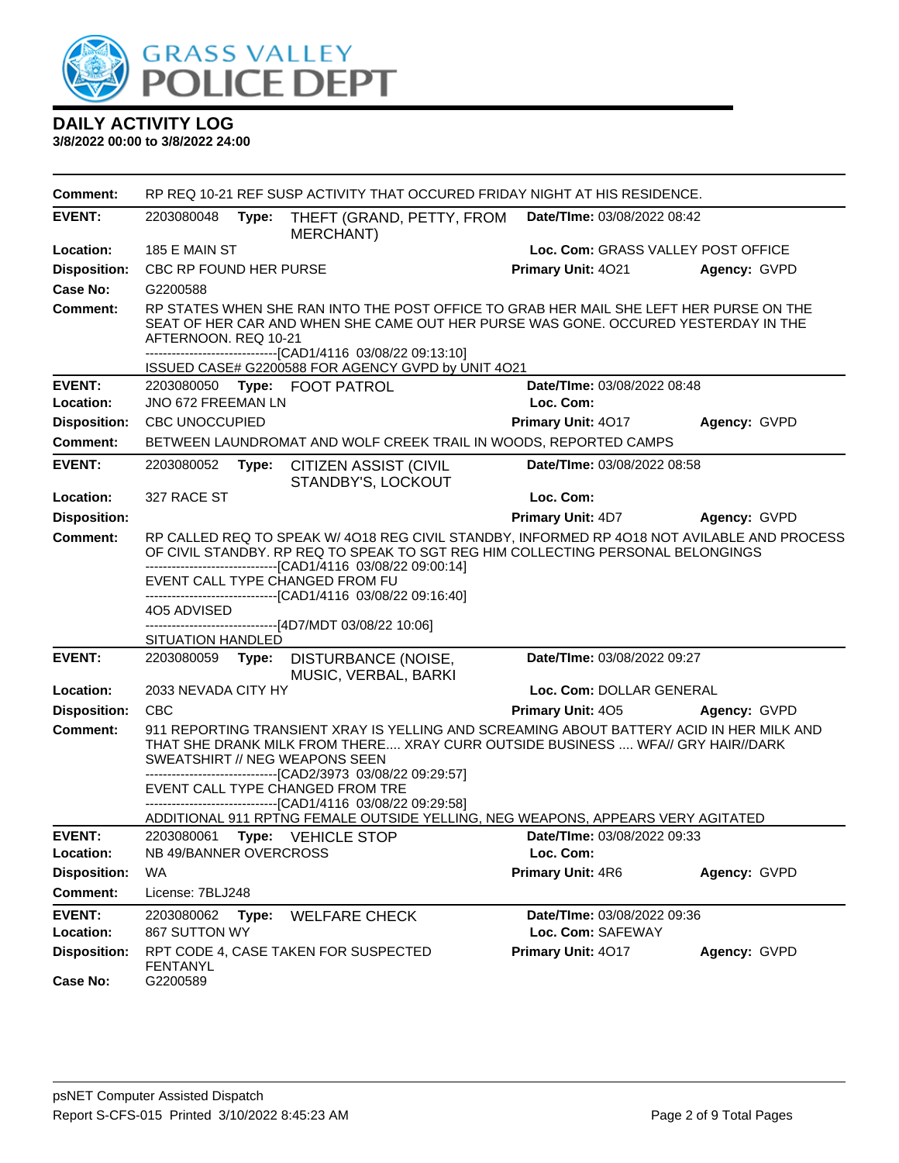

| <b>Comment:</b>                        | RP REQ 10-21 REF SUSP ACTIVITY THAT OCCURED FRIDAY NIGHT AT HIS RESIDENCE.                                                                                                                                                                                           |       |                                                                                                                                                                                                                                                |  |                                                  |              |
|----------------------------------------|----------------------------------------------------------------------------------------------------------------------------------------------------------------------------------------------------------------------------------------------------------------------|-------|------------------------------------------------------------------------------------------------------------------------------------------------------------------------------------------------------------------------------------------------|--|--------------------------------------------------|--------------|
| <b>EVENT:</b>                          | 2203080048<br>Type:                                                                                                                                                                                                                                                  |       | THEFT (GRAND, PETTY, FROM<br><b>MERCHANT</b> )                                                                                                                                                                                                 |  | Date/TIme: 03/08/2022 08:42                      |              |
| Location:                              | 185 E MAIN ST                                                                                                                                                                                                                                                        |       |                                                                                                                                                                                                                                                |  | Loc. Com: GRASS VALLEY POST OFFICE               |              |
| <b>Disposition:</b>                    | CBC RP FOUND HER PURSE                                                                                                                                                                                                                                               |       |                                                                                                                                                                                                                                                |  | Primary Unit: 4021                               | Agency: GVPD |
| Case No:                               | G2200588                                                                                                                                                                                                                                                             |       |                                                                                                                                                                                                                                                |  |                                                  |              |
| <b>Comment:</b>                        | RP STATES WHEN SHE RAN INTO THE POST OFFICE TO GRAB HER MAIL SHE LEFT HER PURSE ON THE<br>SEAT OF HER CAR AND WHEN SHE CAME OUT HER PURSE WAS GONE. OCCURED YESTERDAY IN THE<br>AFTERNOON, REQ 10-21<br>-------------------------------[CAD1/4116 03/08/22 09:13:10] |       |                                                                                                                                                                                                                                                |  |                                                  |              |
|                                        |                                                                                                                                                                                                                                                                      |       | ISSUED CASE# G2200588 FOR AGENCY GVPD by UNIT 4O21                                                                                                                                                                                             |  |                                                  |              |
| <b>EVENT:</b><br>Location:             | 2203080050 Type: FOOT PATROL<br>JNO 672 FREEMAN LN                                                                                                                                                                                                                   |       |                                                                                                                                                                                                                                                |  | Date/TIme: 03/08/2022 08:48<br>Loc. Com:         |              |
| <b>Disposition:</b>                    | <b>CBC UNOCCUPIED</b>                                                                                                                                                                                                                                                |       |                                                                                                                                                                                                                                                |  | Primary Unit: 4017                               | Agency: GVPD |
| <b>Comment:</b>                        |                                                                                                                                                                                                                                                                      |       | BETWEEN LAUNDROMAT AND WOLF CREEK TRAIL IN WOODS, REPORTED CAMPS                                                                                                                                                                               |  |                                                  |              |
| <b>EVENT:</b>                          | 2203080052                                                                                                                                                                                                                                                           |       | Type: CITIZEN ASSIST (CIVIL<br>STANDBY'S, LOCKOUT                                                                                                                                                                                              |  | Date/TIme: 03/08/2022 08:58                      |              |
| Location:                              | 327 RACE ST                                                                                                                                                                                                                                                          |       |                                                                                                                                                                                                                                                |  | Loc. Com:                                        |              |
| <b>Disposition:</b>                    |                                                                                                                                                                                                                                                                      |       |                                                                                                                                                                                                                                                |  | <b>Primary Unit: 4D7</b>                         | Agency: GVPD |
| <b>Comment:</b>                        | RP CALLED REQ TO SPEAK W/4018 REG CIVIL STANDBY, INFORMED RP 4018 NOT AVILABLE AND PROCESS<br>OF CIVIL STANDBY. RP REQ TO SPEAK TO SGT REG HIM COLLECTING PERSONAL BELONGINGS<br>-------------------------------[CAD1/4116 03/08/22 09:00:14]                        |       |                                                                                                                                                                                                                                                |  |                                                  |              |
|                                        | EVENT CALL TYPE CHANGED FROM FU                                                                                                                                                                                                                                      |       | -------------------------------[CAD1/4116 03/08/22 09:16:40]                                                                                                                                                                                   |  |                                                  |              |
|                                        | 4O5 ADVISED                                                                                                                                                                                                                                                          |       | ---------------------------[4D7/MDT 03/08/22 10:06]                                                                                                                                                                                            |  |                                                  |              |
|                                        | SITUATION HANDLED                                                                                                                                                                                                                                                    |       |                                                                                                                                                                                                                                                |  |                                                  |              |
| <b>EVENT:</b>                          |                                                                                                                                                                                                                                                                      |       | 2203080059 Type: DISTURBANCE (NOISE,<br>MUSIC, VERBAL, BARKI                                                                                                                                                                                   |  | Date/TIme: 03/08/2022 09:27                      |              |
| Location:                              | 2033 NEVADA CITY HY                                                                                                                                                                                                                                                  |       |                                                                                                                                                                                                                                                |  | Loc. Com: DOLLAR GENERAL                         |              |
| <b>Disposition:</b><br><b>Comment:</b> | <b>CBC</b>                                                                                                                                                                                                                                                           |       | 911 REPORTING TRANSIENT XRAY IS YELLING AND SCREAMING ABOUT BATTERY ACID IN HER MILK AND                                                                                                                                                       |  | <b>Primary Unit: 405</b>                         | Agency: GVPD |
|                                        | SWEATSHIRT // NEG WEAPONS SEEN                                                                                                                                                                                                                                       |       | THAT SHE DRANK MILK FROM THERE XRAY CURR OUTSIDE BUSINESS  WFA// GRY HAIR//DARK<br>------------------------[CAD2/3973_03/08/22_09:29:57]<br>EVENT CALL TYPE CHANGED FROM TRE<br>---------------------------------[CAD1/4116 03/08/22 09:29:58] |  |                                                  |              |
|                                        |                                                                                                                                                                                                                                                                      |       | ADDITIONAL 911 RPTNG FEMALE OUTSIDE YELLING, NEG WEAPONS, APPEARS VERY AGITATED                                                                                                                                                                |  |                                                  |              |
| <b>EVENT:</b>                          | 2203080061 Type: VEHICLE STOP                                                                                                                                                                                                                                        |       |                                                                                                                                                                                                                                                |  | Date/TIme: 03/08/2022 09:33                      |              |
| Location:                              | NB 49/BANNER OVERCROSS                                                                                                                                                                                                                                               |       |                                                                                                                                                                                                                                                |  | Loc. Com:                                        |              |
| <b>Disposition:</b>                    | WA                                                                                                                                                                                                                                                                   |       |                                                                                                                                                                                                                                                |  | Primary Unit: 4R6                                | Agency: GVPD |
| <b>Comment:</b>                        | License: 7BLJ248                                                                                                                                                                                                                                                     |       |                                                                                                                                                                                                                                                |  |                                                  |              |
| <b>EVENT:</b><br>Location:             | 2203080062<br>867 SUTTON WY                                                                                                                                                                                                                                          | Type: | <b>WELFARE CHECK</b>                                                                                                                                                                                                                           |  | Date/TIme: 03/08/2022 09:36<br>Loc. Com: SAFEWAY |              |
| <b>Disposition:</b>                    | <b>FENTANYL</b>                                                                                                                                                                                                                                                      |       | RPT CODE 4, CASE TAKEN FOR SUSPECTED                                                                                                                                                                                                           |  | Primary Unit: 4017                               | Agency: GVPD |
| Case No:                               | G2200589                                                                                                                                                                                                                                                             |       |                                                                                                                                                                                                                                                |  |                                                  |              |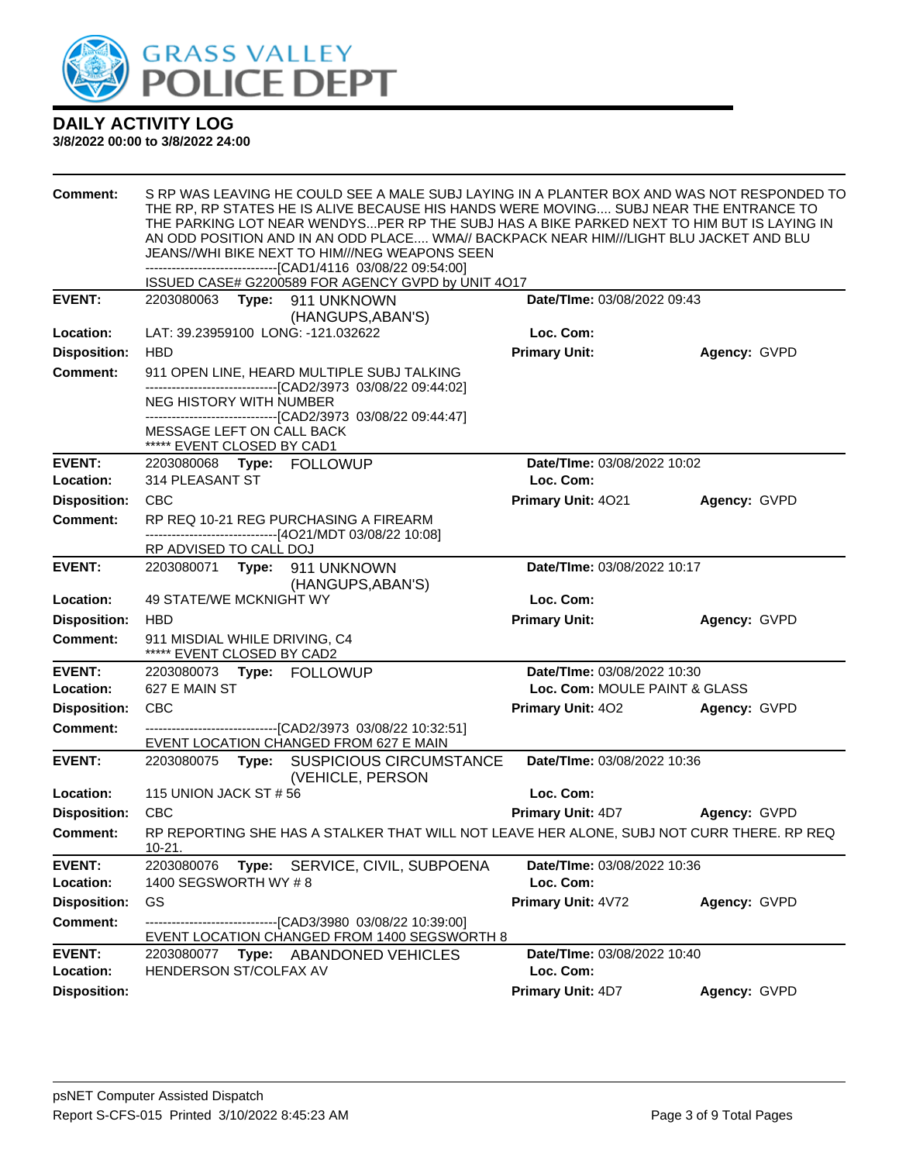

| <b>Comment:</b>            | S RP WAS LEAVING HE COULD SEE A MALE SUBJ LAYING IN A PLANTER BOX AND WAS NOT RESPONDED TO<br>THE RP, RP STATES HE IS ALIVE BECAUSE HIS HANDS WERE MOVING SUBJ NEAR THE ENTRANCE TO<br>THE PARKING LOT NEAR WENDYSPER RP THE SUBJ HAS A BIKE PARKED NEXT TO HIM BUT IS LAYING IN<br>AN ODD POSITION AND IN AN ODD PLACE WMA// BACKPACK NEAR HIM///LIGHT BLU JACKET AND BLU<br>JEANS//WHI BIKE NEXT TO HIM///NEG WEAPONS SEEN<br>-------------------------------[CAD1/4116 03/08/22 09:54:00]<br>ISSUED CASE# G2200589 FOR AGENCY GVPD by UNIT 4O17 |  |                                                                                                              |                                          |              |  |
|----------------------------|----------------------------------------------------------------------------------------------------------------------------------------------------------------------------------------------------------------------------------------------------------------------------------------------------------------------------------------------------------------------------------------------------------------------------------------------------------------------------------------------------------------------------------------------------|--|--------------------------------------------------------------------------------------------------------------|------------------------------------------|--------------|--|
| <b>EVENT:</b>              |                                                                                                                                                                                                                                                                                                                                                                                                                                                                                                                                                    |  | 2203080063 Type: 911 UNKNOWN                                                                                 | Date/TIme: 03/08/2022 09:43              |              |  |
|                            |                                                                                                                                                                                                                                                                                                                                                                                                                                                                                                                                                    |  | (HANGUPS, ABAN'S)                                                                                            |                                          |              |  |
| Location:                  | LAT: 39.23959100 LONG: -121.032622                                                                                                                                                                                                                                                                                                                                                                                                                                                                                                                 |  |                                                                                                              | Loc. Com:                                |              |  |
| <b>Disposition:</b>        | <b>HBD</b>                                                                                                                                                                                                                                                                                                                                                                                                                                                                                                                                         |  |                                                                                                              | <b>Primary Unit:</b>                     | Agency: GVPD |  |
| <b>Comment:</b>            |                                                                                                                                                                                                                                                                                                                                                                                                                                                                                                                                                    |  | 911 OPEN LINE, HEARD MULTIPLE SUBJ TALKING<br>---------------------------------[CAD2/3973 03/08/22 09:44:02] |                                          |              |  |
|                            | NEG HISTORY WITH NUMBER                                                                                                                                                                                                                                                                                                                                                                                                                                                                                                                            |  | -------------------------------[CAD2/3973_03/08/22_09:44:47]                                                 |                                          |              |  |
|                            | MESSAGE LEFT ON CALL BACK<br>***** EVENT CLOSED BY CAD1                                                                                                                                                                                                                                                                                                                                                                                                                                                                                            |  |                                                                                                              |                                          |              |  |
| <b>EVENT:</b>              | 2203080068 Type: FOLLOWUP                                                                                                                                                                                                                                                                                                                                                                                                                                                                                                                          |  |                                                                                                              | Date/TIme: 03/08/2022 10:02              |              |  |
| Location:                  | 314 PLEASANT ST                                                                                                                                                                                                                                                                                                                                                                                                                                                                                                                                    |  |                                                                                                              | Loc. Com:                                |              |  |
| <b>Disposition:</b>        | <b>CBC</b>                                                                                                                                                                                                                                                                                                                                                                                                                                                                                                                                         |  |                                                                                                              | Primary Unit: 4021                       | Agency: GVPD |  |
| <b>Comment:</b>            |                                                                                                                                                                                                                                                                                                                                                                                                                                                                                                                                                    |  | RP REQ 10-21 REG PURCHASING A FIREARM<br>-------------------------------[4O21/MDT 03/08/22 10:08]            |                                          |              |  |
|                            | RP ADVISED TO CALL DOJ                                                                                                                                                                                                                                                                                                                                                                                                                                                                                                                             |  |                                                                                                              |                                          |              |  |
| <b>EVENT:</b>              |                                                                                                                                                                                                                                                                                                                                                                                                                                                                                                                                                    |  | 2203080071 Type: 911 UNKNOWN<br>(HANGUPS, ABAN'S)                                                            | Date/TIme: 03/08/2022 10:17              |              |  |
| Location:                  | <b>49 STATE/WE MCKNIGHT WY</b>                                                                                                                                                                                                                                                                                                                                                                                                                                                                                                                     |  |                                                                                                              | Loc. Com:                                |              |  |
| <b>Disposition:</b>        | <b>HBD</b>                                                                                                                                                                                                                                                                                                                                                                                                                                                                                                                                         |  |                                                                                                              | <b>Primary Unit:</b>                     | Agency: GVPD |  |
| <b>Comment:</b>            | 911 MISDIAL WHILE DRIVING, C4<br>***** EVENT CLOSED BY CAD2                                                                                                                                                                                                                                                                                                                                                                                                                                                                                        |  |                                                                                                              |                                          |              |  |
| <b>EVENT:</b>              | 2203080073 Type: FOLLOWUP                                                                                                                                                                                                                                                                                                                                                                                                                                                                                                                          |  |                                                                                                              | Date/TIme: 03/08/2022 10:30              |              |  |
| Location:                  | 627 E MAIN ST                                                                                                                                                                                                                                                                                                                                                                                                                                                                                                                                      |  |                                                                                                              | Loc. Com: MOULE PAINT & GLASS            |              |  |
| <b>Disposition:</b>        | <b>CBC</b>                                                                                                                                                                                                                                                                                                                                                                                                                                                                                                                                         |  |                                                                                                              | <b>Primary Unit: 402</b>                 | Agency: GVPD |  |
| <b>Comment:</b>            |                                                                                                                                                                                                                                                                                                                                                                                                                                                                                                                                                    |  | --------------------------------[CAD2/3973 03/08/22 10:32:51]<br>EVENT LOCATION CHANGED FROM 627 E MAIN      |                                          |              |  |
| <b>EVENT:</b>              |                                                                                                                                                                                                                                                                                                                                                                                                                                                                                                                                                    |  | 2203080075 Type: SUSPICIOUS CIRCUMSTANCE<br>(VEHICLE, PERSON                                                 | Date/TIme: 03/08/2022 10:36              |              |  |
| Location:                  | 115 UNION JACK ST # 56                                                                                                                                                                                                                                                                                                                                                                                                                                                                                                                             |  |                                                                                                              | Loc. Com:                                |              |  |
| <b>Disposition:</b>        | <b>CBC</b>                                                                                                                                                                                                                                                                                                                                                                                                                                                                                                                                         |  |                                                                                                              | <b>Primary Unit: 4D7</b>                 | Agency: GVPD |  |
| Comment:                   | $10 - 21.$                                                                                                                                                                                                                                                                                                                                                                                                                                                                                                                                         |  | RP REPORTING SHE HAS A STALKER THAT WILL NOT LEAVE HER ALONE, SUBJ NOT CURR THERE. RP REQ                    |                                          |              |  |
| <b>EVENT:</b><br>Location: | 2203080076<br>1400 SEGSWORTH WY #8                                                                                                                                                                                                                                                                                                                                                                                                                                                                                                                 |  | Type: SERVICE, CIVIL, SUBPOENA                                                                               | Date/TIme: 03/08/2022 10:36<br>Loc. Com: |              |  |
| <b>Disposition:</b>        | GS                                                                                                                                                                                                                                                                                                                                                                                                                                                                                                                                                 |  |                                                                                                              | Primary Unit: 4V72                       | Agency: GVPD |  |
| <b>Comment:</b>            |                                                                                                                                                                                                                                                                                                                                                                                                                                                                                                                                                    |  | ------------------------[CAD3/3980_03/08/22_10:39:00]<br>EVENT LOCATION CHANGED FROM 1400 SEGSWORTH 8        |                                          |              |  |
| <b>EVENT:</b><br>Location: | HENDERSON ST/COLFAX AV                                                                                                                                                                                                                                                                                                                                                                                                                                                                                                                             |  | 2203080077 Type: ABANDONED VEHICLES                                                                          | Date/TIme: 03/08/2022 10:40<br>Loc. Com: |              |  |
| <b>Disposition:</b>        |                                                                                                                                                                                                                                                                                                                                                                                                                                                                                                                                                    |  |                                                                                                              | Primary Unit: 4D7                        | Agency: GVPD |  |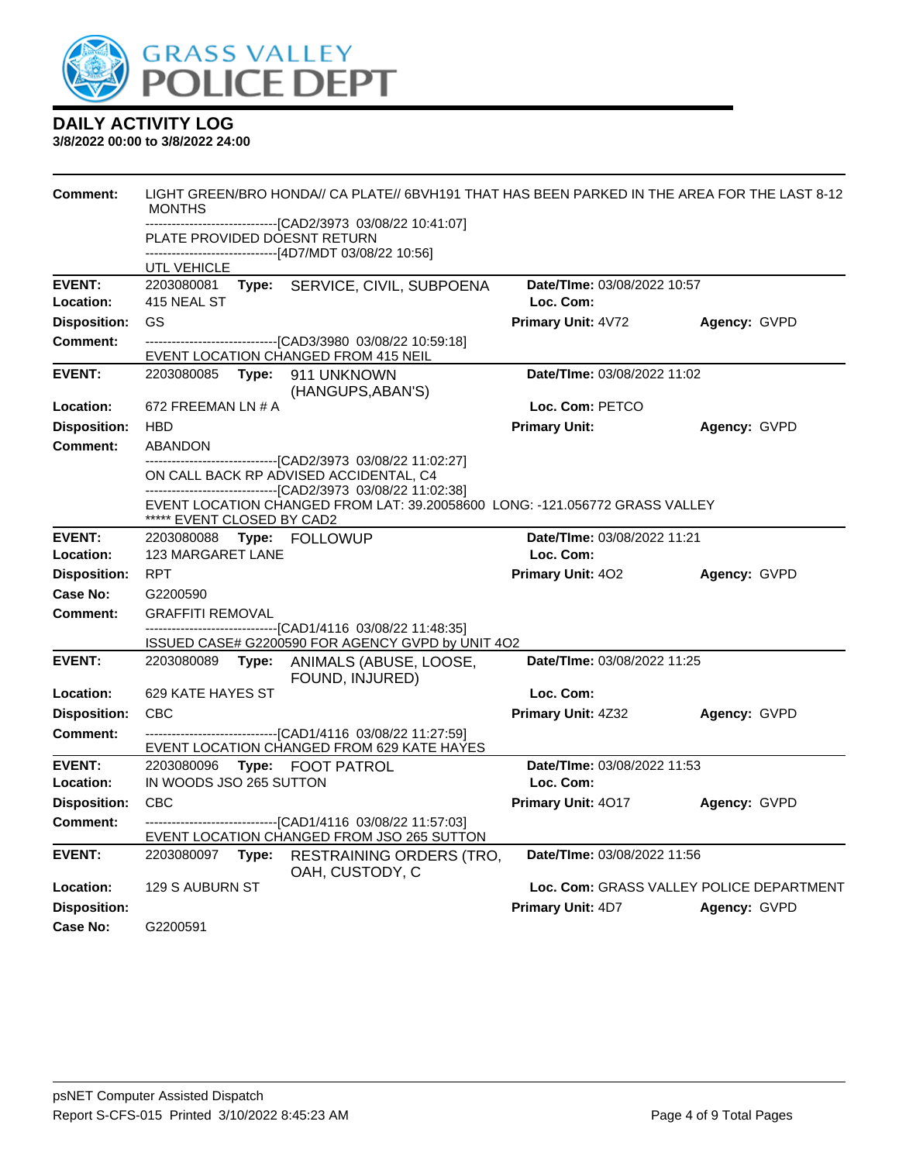

| <b>Comment:</b>            | LIGHT GREEN/BRO HONDA// CA PLATE// 6BVH191 THAT HAS BEEN PARKED IN THE AREA FOR THE LAST 8-12<br><b>MONTHS</b><br>------------------------------[CAD2/3973 03/08/22 10:41:07] |  |                                                                                                                                                                       |                                          |                                          |
|----------------------------|-------------------------------------------------------------------------------------------------------------------------------------------------------------------------------|--|-----------------------------------------------------------------------------------------------------------------------------------------------------------------------|------------------------------------------|------------------------------------------|
|                            |                                                                                                                                                                               |  | PLATE PROVIDED DOESNT RETURN<br>-------------------------[4D7/MDT 03/08/22 10:56]                                                                                     |                                          |                                          |
|                            | UTL VEHICLE                                                                                                                                                                   |  |                                                                                                                                                                       |                                          |                                          |
| <b>EVENT:</b><br>Location: | 2203080081<br>415 NEAL ST                                                                                                                                                     |  | Type: SERVICE, CIVIL, SUBPOENA                                                                                                                                        | Date/TIme: 03/08/2022 10:57<br>Loc. Com: |                                          |
| <b>Disposition:</b>        | GS                                                                                                                                                                            |  |                                                                                                                                                                       | Primary Unit: 4V72                       | Agency: GVPD                             |
| Comment:                   |                                                                                                                                                                               |  |                                                                                                                                                                       |                                          |                                          |
|                            |                                                                                                                                                                               |  | EVENT LOCATION CHANGED FROM 415 NEIL                                                                                                                                  |                                          |                                          |
| <b>EVENT:</b>              | 2203080085 <b>Type:</b>                                                                                                                                                       |  | 911 UNKNOWN<br>(HANGUPS, ABAN'S)                                                                                                                                      | Date/TIme: 03/08/2022 11:02              |                                          |
| Location:                  | 672 FREEMAN LN # A                                                                                                                                                            |  |                                                                                                                                                                       | Loc. Com: PETCO                          |                                          |
| <b>Disposition:</b>        | <b>HBD</b>                                                                                                                                                                    |  |                                                                                                                                                                       | <b>Primary Unit:</b>                     | Agency: GVPD                             |
| Comment:                   | <b>ABANDON</b>                                                                                                                                                                |  |                                                                                                                                                                       |                                          |                                          |
|                            |                                                                                                                                                                               |  | ------------------------------[CAD2/3973_03/08/22 11:02:27]<br>ON CALL BACK RP ADVISED ACCIDENTAL, C4<br>-------------------------------[CAD2/3973_03/08/22_11:02:38] |                                          |                                          |
|                            | ***** EVENT CLOSED BY CAD2                                                                                                                                                    |  | EVENT LOCATION CHANGED FROM LAT: 39.20058600 LONG: -121.056772 GRASS VALLEY                                                                                           |                                          |                                          |
| <b>EVENT:</b>              |                                                                                                                                                                               |  | 2203080088 Type: FOLLOWUP                                                                                                                                             | Date/TIme: 03/08/2022 11:21              |                                          |
| Location:                  | <b>123 MARGARET LANE</b>                                                                                                                                                      |  |                                                                                                                                                                       | Loc. Com:                                |                                          |
| <b>Disposition:</b>        | <b>RPT</b>                                                                                                                                                                    |  |                                                                                                                                                                       | <b>Primary Unit: 402</b>                 | Agency: GVPD                             |
| Case No:                   | G2200590                                                                                                                                                                      |  |                                                                                                                                                                       |                                          |                                          |
| <b>Comment:</b>            | <b>GRAFFITI REMOVAL</b>                                                                                                                                                       |  |                                                                                                                                                                       |                                          |                                          |
|                            |                                                                                                                                                                               |  | -------------------------------[CAD1/4116 03/08/22 11:48:35]<br>ISSUED CASE# G2200590 FOR AGENCY GVPD by UNIT 4O2                                                     |                                          |                                          |
| <b>EVENT:</b>              |                                                                                                                                                                               |  | 2203080089 Type: ANIMALS (ABUSE, LOOSE,<br>FOUND, INJURED)                                                                                                            | Date/TIme: 03/08/2022 11:25              |                                          |
| Location:                  | 629 KATE HAYES ST                                                                                                                                                             |  |                                                                                                                                                                       | Loc. Com:                                |                                          |
| <b>Disposition:</b>        | <b>CBC</b>                                                                                                                                                                    |  |                                                                                                                                                                       | Primary Unit: 4Z32                       | Agency: GVPD                             |
| <b>Comment:</b>            |                                                                                                                                                                               |  | --------------------------------[CAD1/4116 03/08/22 11:27:59]                                                                                                         |                                          |                                          |
|                            |                                                                                                                                                                               |  | EVENT LOCATION CHANGED FROM 629 KATE HAYES                                                                                                                            |                                          |                                          |
| <b>EVENT:</b>              | 2203080096                                                                                                                                                                    |  | Type: FOOT PATROL                                                                                                                                                     | Date/TIme: 03/08/2022 11:53              |                                          |
| Location:                  | IN WOODS JSO 265 SUTTON                                                                                                                                                       |  |                                                                                                                                                                       | Loc. Com:                                |                                          |
| <b>Disposition:</b>        | <b>CBC</b>                                                                                                                                                                    |  |                                                                                                                                                                       | Primary Unit: 4017                       | Agency: GVPD                             |
| <b>Comment:</b>            |                                                                                                                                                                               |  | ----------------------------------[CAD1/4116 03/08/22 11:57:03]<br>EVENT LOCATION CHANGED FROM JSO 265 SUTTON                                                         |                                          |                                          |
| <b>EVENT:</b>              | 2203080097 Type:                                                                                                                                                              |  | RESTRAINING ORDERS (TRO,<br>OAH, CUSTODY, C                                                                                                                           | Date/TIme: 03/08/2022 11:56              |                                          |
| Location:                  | 129 S AUBURN ST                                                                                                                                                               |  |                                                                                                                                                                       |                                          | Loc. Com: GRASS VALLEY POLICE DEPARTMENT |
| <b>Disposition:</b>        |                                                                                                                                                                               |  |                                                                                                                                                                       | Primary Unit: 4D7                        | Agency: GVPD                             |
| Case No:                   | G2200591                                                                                                                                                                      |  |                                                                                                                                                                       |                                          |                                          |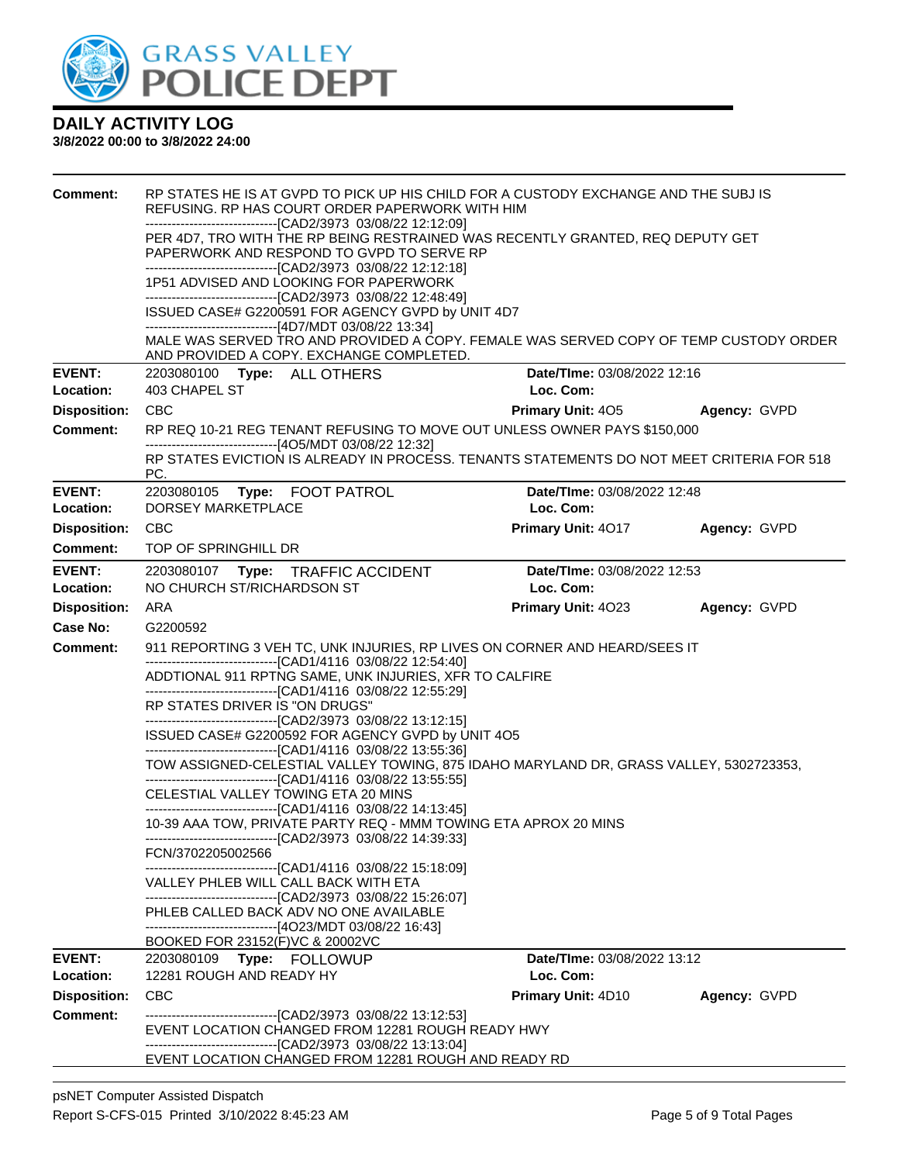

| <b>Comment:</b><br><b>EVENT:</b> | RP STATES HE IS AT GVPD TO PICK UP HIS CHILD FOR A CUSTODY EXCHANGE AND THE SUBJ IS<br>REFUSING. RP HAS COURT ORDER PAPERWORK WITH HIM<br>-------------------------------[CAD2/3973 03/08/22 12:12:09]<br>PER 4D7, TRO WITH THE RP BEING RESTRAINED WAS RECENTLY GRANTED, REQ DEPUTY GET<br>PAPERWORK AND RESPOND TO GVPD TO SERVE RP<br>--------------------------------[CAD2/3973 03/08/22 12:12:18]<br>1P51 ADVISED AND LOOKING FOR PAPERWORK<br>--------------------------------[CAD2/3973 03/08/22 12:48:49]<br>ISSUED CASE# G2200591 FOR AGENCY GVPD by UNIT 4D7<br>------------------------------[4D7/MDT 03/08/22 13:34]<br>MALE WAS SERVED TRO AND PROVIDED A COPY. FEMALE WAS SERVED COPY OF TEMP CUSTODY ORDER<br>AND PROVIDED A COPY. EXCHANGE COMPLETED.<br>Date/TIme: 03/08/2022 12:16<br>2203080100 Type: ALL OTHERS                                                                                                                                                                                                                                                                                                                                         |                                          |              |  |  |  |
|----------------------------------|-----------------------------------------------------------------------------------------------------------------------------------------------------------------------------------------------------------------------------------------------------------------------------------------------------------------------------------------------------------------------------------------------------------------------------------------------------------------------------------------------------------------------------------------------------------------------------------------------------------------------------------------------------------------------------------------------------------------------------------------------------------------------------------------------------------------------------------------------------------------------------------------------------------------------------------------------------------------------------------------------------------------------------------------------------------------------------------------------------------------------------------------------------------------------------|------------------------------------------|--------------|--|--|--|
| Location:                        | 403 CHAPEL ST                                                                                                                                                                                                                                                                                                                                                                                                                                                                                                                                                                                                                                                                                                                                                                                                                                                                                                                                                                                                                                                                                                                                                               | Loc. Com:                                |              |  |  |  |
| <b>Disposition:</b>              | <b>CBC</b>                                                                                                                                                                                                                                                                                                                                                                                                                                                                                                                                                                                                                                                                                                                                                                                                                                                                                                                                                                                                                                                                                                                                                                  | <b>Primary Unit: 405</b>                 | Agency: GVPD |  |  |  |
| <b>Comment:</b>                  | RP REQ 10-21 REG TENANT REFUSING TO MOVE OUT UNLESS OWNER PAYS \$150,000<br>--------------------------------[4O5/MDT 03/08/22 12:32]                                                                                                                                                                                                                                                                                                                                                                                                                                                                                                                                                                                                                                                                                                                                                                                                                                                                                                                                                                                                                                        |                                          |              |  |  |  |
|                                  | RP STATES EVICTION IS ALREADY IN PROCESS. TENANTS STATEMENTS DO NOT MEET CRITERIA FOR 518<br>PC.                                                                                                                                                                                                                                                                                                                                                                                                                                                                                                                                                                                                                                                                                                                                                                                                                                                                                                                                                                                                                                                                            |                                          |              |  |  |  |
| <b>EVENT:</b><br>Location:       | 2203080105    Type: FOOT PATROL<br>DORSEY MARKETPLACE                                                                                                                                                                                                                                                                                                                                                                                                                                                                                                                                                                                                                                                                                                                                                                                                                                                                                                                                                                                                                                                                                                                       | Date/TIme: 03/08/2022 12:48<br>Loc. Com: |              |  |  |  |
| <b>Disposition:</b>              | <b>CBC</b>                                                                                                                                                                                                                                                                                                                                                                                                                                                                                                                                                                                                                                                                                                                                                                                                                                                                                                                                                                                                                                                                                                                                                                  | Primary Unit: 4017                       | Agency: GVPD |  |  |  |
| <b>Comment:</b>                  | TOP OF SPRINGHILL DR                                                                                                                                                                                                                                                                                                                                                                                                                                                                                                                                                                                                                                                                                                                                                                                                                                                                                                                                                                                                                                                                                                                                                        |                                          |              |  |  |  |
| <b>EVENT:</b>                    | 2203080107 Type: TRAFFIC ACCIDENT                                                                                                                                                                                                                                                                                                                                                                                                                                                                                                                                                                                                                                                                                                                                                                                                                                                                                                                                                                                                                                                                                                                                           | Date/TIme: 03/08/2022 12:53              |              |  |  |  |
| Location:                        | NO CHURCH ST/RICHARDSON ST<br>Loc. Com:                                                                                                                                                                                                                                                                                                                                                                                                                                                                                                                                                                                                                                                                                                                                                                                                                                                                                                                                                                                                                                                                                                                                     |                                          |              |  |  |  |
| <b>Disposition:</b>              | ARA                                                                                                                                                                                                                                                                                                                                                                                                                                                                                                                                                                                                                                                                                                                                                                                                                                                                                                                                                                                                                                                                                                                                                                         | Primary Unit: 4023                       | Agency: GVPD |  |  |  |
| <b>Case No:</b>                  | G2200592                                                                                                                                                                                                                                                                                                                                                                                                                                                                                                                                                                                                                                                                                                                                                                                                                                                                                                                                                                                                                                                                                                                                                                    |                                          |              |  |  |  |
| <b>Comment:</b>                  | 911 REPORTING 3 VEH TC, UNK INJURIES, RP LIVES ON CORNER AND HEARD/SEES IT<br>------------------------------[CAD1/4116 03/08/22 12:54:40]<br>ADDTIONAL 911 RPTNG SAME, UNK INJURIES, XFR TO CALFIRE<br>--------------------------------[CAD1/4116 03/08/22 12:55:29]<br>RP STATES DRIVER IS "ON DRUGS"<br>--------------------------------[CAD2/3973 03/08/22 13:12:15]<br>ISSUED CASE# G2200592 FOR AGENCY GVPD by UNIT 4O5<br>--------------------------------[CAD1/4116 03/08/22 13:55:36]<br>TOW ASSIGNED-CELESTIAL VALLEY TOWING, 875 IDAHO MARYLAND DR, GRASS VALLEY, 5302723353,<br>--------------------------------[CAD1/4116 03/08/22 13:55:55]<br>CELESTIAL VALLEY TOWING ETA 20 MINS<br>------------------------------[CAD1/4116 03/08/22 14:13:45]<br>10-39 AAA TOW, PRIVATE PARTY REQ - MMM TOWING ETA APROX 20 MINS<br>FCN/3702205002566<br>-------------------------------[CAD1/4116_03/08/22 15:18:09]<br>VALLEY PHLEB WILL CALL BACK WITH ETA<br>--------------------------------[CAD2/3973 03/08/22 15:26:07]<br>PHLEB CALLED BACK ADV NO ONE AVAILABLE<br>----------------------------------[4O23/MDT 03/08/22 16:43]<br>BOOKED FOR 23152(F)VC & 20002VC |                                          |              |  |  |  |
| <b>EVENT:</b><br>Location:       |                                                                                                                                                                                                                                                                                                                                                                                                                                                                                                                                                                                                                                                                                                                                                                                                                                                                                                                                                                                                                                                                                                                                                                             | Date/TIme: 03/08/2022 13:12              |              |  |  |  |
| <b>Disposition:</b>              | 12281 ROUGH AND READY HY<br><b>CBC</b>                                                                                                                                                                                                                                                                                                                                                                                                                                                                                                                                                                                                                                                                                                                                                                                                                                                                                                                                                                                                                                                                                                                                      | Loc. Com:<br><b>Primary Unit: 4D10</b>   |              |  |  |  |
| <b>Comment:</b>                  | -------------------------------[CAD2/3973 03/08/22 13:12:53]                                                                                                                                                                                                                                                                                                                                                                                                                                                                                                                                                                                                                                                                                                                                                                                                                                                                                                                                                                                                                                                                                                                |                                          | Agency: GVPD |  |  |  |
|                                  | EVENT LOCATION CHANGED FROM 12281 ROUGH READY HWY<br>-------------------------[CAD2/3973_03/08/22 13:13:04]<br>EVENT LOCATION CHANGED FROM 12281 ROUGH AND READY RD                                                                                                                                                                                                                                                                                                                                                                                                                                                                                                                                                                                                                                                                                                                                                                                                                                                                                                                                                                                                         |                                          |              |  |  |  |
|                                  |                                                                                                                                                                                                                                                                                                                                                                                                                                                                                                                                                                                                                                                                                                                                                                                                                                                                                                                                                                                                                                                                                                                                                                             |                                          |              |  |  |  |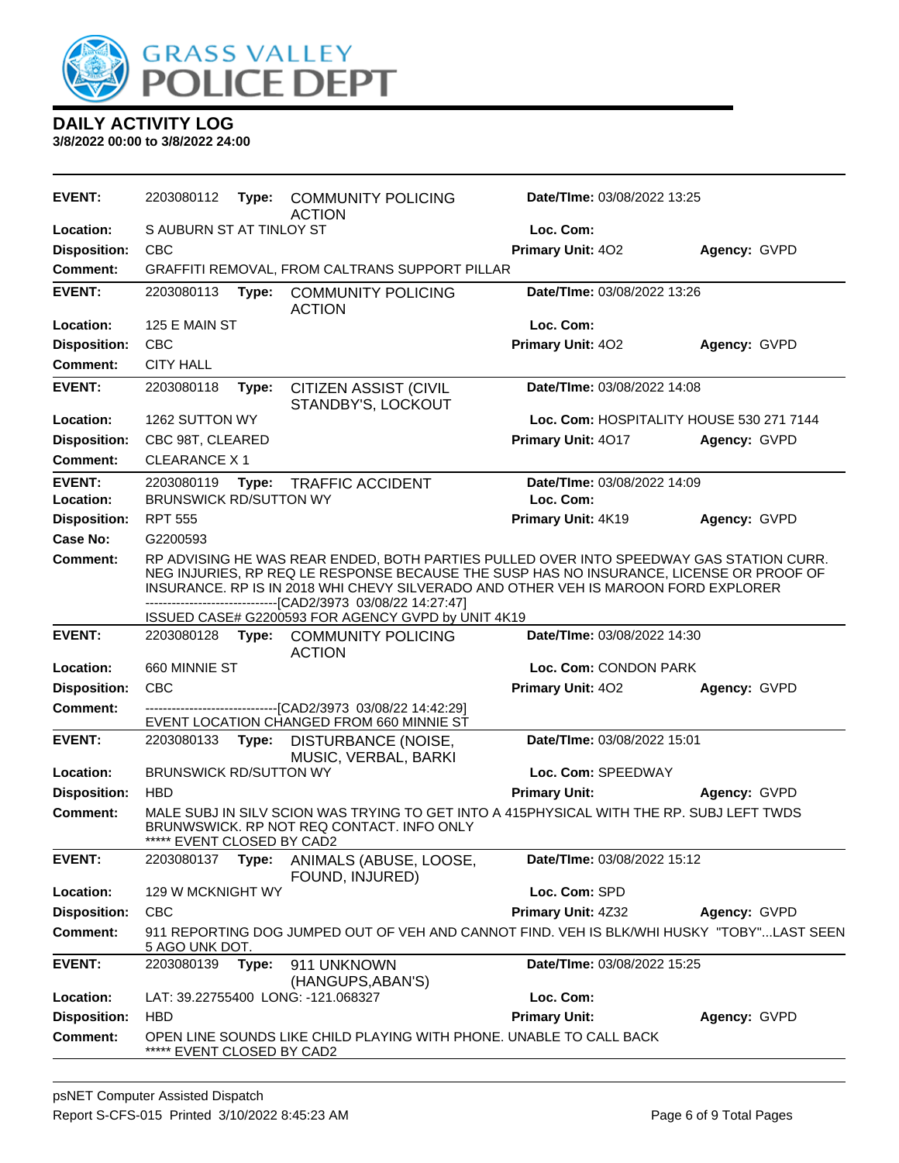

| <b>EVENT:</b>              | 2203080112                                  | Type: | <b>COMMUNITY POLICING</b><br><b>ACTION</b>                                                                                                                                                                                                                                                                                                 | <b>Date/Time: 03/08/2022 13:25</b>       |              |
|----------------------------|---------------------------------------------|-------|--------------------------------------------------------------------------------------------------------------------------------------------------------------------------------------------------------------------------------------------------------------------------------------------------------------------------------------------|------------------------------------------|--------------|
| Location:                  | S AUBURN ST AT TINLOY ST                    |       |                                                                                                                                                                                                                                                                                                                                            | Loc. Com:                                |              |
| <b>Disposition:</b>        | <b>CBC</b>                                  |       |                                                                                                                                                                                                                                                                                                                                            | Primary Unit: 402                        | Agency: GVPD |
| <b>Comment:</b>            |                                             |       | GRAFFITI REMOVAL, FROM CALTRANS SUPPORT PILLAR                                                                                                                                                                                                                                                                                             |                                          |              |
| <b>EVENT:</b>              | 2203080113                                  | Type: | <b>COMMUNITY POLICING</b><br><b>ACTION</b>                                                                                                                                                                                                                                                                                                 | Date/TIme: 03/08/2022 13:26              |              |
| Location:                  | 125 E MAIN ST                               |       |                                                                                                                                                                                                                                                                                                                                            | Loc. Com:                                |              |
| <b>Disposition:</b>        | CBC                                         |       |                                                                                                                                                                                                                                                                                                                                            | Primary Unit: 402                        | Agency: GVPD |
| <b>Comment:</b>            | <b>CITY HALL</b>                            |       |                                                                                                                                                                                                                                                                                                                                            |                                          |              |
| <b>EVENT:</b>              | 2203080118                                  | Type: | <b>CITIZEN ASSIST (CIVIL</b><br>STANDBY'S, LOCKOUT                                                                                                                                                                                                                                                                                         | Date/TIme: 03/08/2022 14:08              |              |
| Location:                  | 1262 SUTTON WY                              |       |                                                                                                                                                                                                                                                                                                                                            | Loc. Com: HOSPITALITY HOUSE 530 271 7144 |              |
| <b>Disposition:</b>        | CBC 98T, CLEARED                            |       |                                                                                                                                                                                                                                                                                                                                            | Primary Unit: 4017                       | Agency: GVPD |
| Comment:                   | <b>CLEARANCE X1</b>                         |       |                                                                                                                                                                                                                                                                                                                                            |                                          |              |
| <b>EVENT:</b><br>Location: | 2203080119<br><b>BRUNSWICK RD/SUTTON WY</b> | Type: | <b>TRAFFIC ACCIDENT</b>                                                                                                                                                                                                                                                                                                                    | Date/TIme: 03/08/2022 14:09<br>Loc. Com: |              |
| <b>Disposition:</b>        | <b>RPT 555</b>                              |       |                                                                                                                                                                                                                                                                                                                                            | Primary Unit: 4K19                       | Agency: GVPD |
| <b>Case No:</b>            | G2200593                                    |       |                                                                                                                                                                                                                                                                                                                                            |                                          |              |
| Comment:                   |                                             |       | RP ADVISING HE WAS REAR ENDED, BOTH PARTIES PULLED OVER INTO SPEEDWAY GAS STATION CURR.<br>NEG INJURIES, RP REQ LE RESPONSE BECAUSE THE SUSP HAS NO INSURANCE, LICENSE OR PROOF OF<br>INSURANCE. RP IS IN 2018 WHI CHEVY SILVERADO AND OTHER VEH IS MAROON FORD EXPLORER<br>---------------------------------[CAD2/3973 03/08/22 14:27:47] |                                          |              |
|                            |                                             |       | ISSUED CASE# G2200593 FOR AGENCY GVPD by UNIT 4K19                                                                                                                                                                                                                                                                                         |                                          |              |
| <b>EVENT:</b>              | 2203080128                                  |       | Type: COMMUNITY POLICING<br><b>ACTION</b>                                                                                                                                                                                                                                                                                                  | Date/TIme: 03/08/2022 14:30              |              |
| Location:                  | 660 MINNIE ST                               |       |                                                                                                                                                                                                                                                                                                                                            | Loc. Com: CONDON PARK                    |              |
| <b>Disposition:</b>        | CBC                                         |       |                                                                                                                                                                                                                                                                                                                                            | Primary Unit: 402                        | Agency: GVPD |
| <b>Comment:</b>            |                                             |       | --------------------------------[CAD2/3973 03/08/22 14:42:29]<br>EVENT LOCATION CHANGED FROM 660 MINNIE ST                                                                                                                                                                                                                                 |                                          |              |
| <b>EVENT:</b>              | 2203080133 Type:                            |       | DISTURBANCE (NOISE,<br>MUSIC, VERBAL, BARKI                                                                                                                                                                                                                                                                                                | Date/TIme: 03/08/2022 15:01              |              |
| Location:                  | <b>BRUNSWICK RD/SUTTON WY</b>               |       |                                                                                                                                                                                                                                                                                                                                            | Loc. Com: SPEEDWAY                       |              |
| <b>Disposition:</b>        | <b>HBD</b>                                  |       |                                                                                                                                                                                                                                                                                                                                            | <b>Primary Unit:</b>                     | Agency: GVPD |
| <b>Comment:</b>            | EVENT CLOSED BY CAD2                        |       | MALE SUBJ IN SILV SCION WAS TRYING TO GET INTO A 415PHYSICAL WITH THE RP. SUBJ LEFT TWDS<br>BRUNWSWICK. RP NOT REQ CONTACT. INFO ONLY                                                                                                                                                                                                      |                                          |              |
| <b>EVENT:</b>              | 2203080137                                  | Type: | ANIMALS (ABUSE, LOOSE,<br>FOUND, INJURED)                                                                                                                                                                                                                                                                                                  | Date/TIme: 03/08/2022 15:12              |              |
| Location:                  | 129 W MCKNIGHT WY                           |       |                                                                                                                                                                                                                                                                                                                                            | Loc. Com: SPD                            |              |
| <b>Disposition:</b>        | <b>CBC</b>                                  |       |                                                                                                                                                                                                                                                                                                                                            | Primary Unit: 4Z32                       | Agency: GVPD |
| <b>Comment:</b>            | <u>5 AGO UNK DOT.</u>                       |       | 911 REPORTING DOG JUMPED OUT OF VEH AND CANNOT FIND. VEH IS BLK/WHI HUSKY "TOBY"LAST SEEN                                                                                                                                                                                                                                                  |                                          |              |
| <b>EVENT:</b>              | 2203080139                                  | Type: | 911 UNKNOWN<br>(HANGUPS, ABAN'S)                                                                                                                                                                                                                                                                                                           | Date/TIme: 03/08/2022 15:25              |              |
| Location:                  |                                             |       | LAT: 39.22755400 LONG: -121.068327                                                                                                                                                                                                                                                                                                         | Loc. Com:                                |              |
| <b>Disposition:</b>        | HBD                                         |       |                                                                                                                                                                                                                                                                                                                                            | <b>Primary Unit:</b>                     | Agency: GVPD |
| <b>Comment:</b>            | ***** EVENT CLOSED BY CAD2                  |       | OPEN LINE SOUNDS LIKE CHILD PLAYING WITH PHONE. UNABLE TO CALL BACK                                                                                                                                                                                                                                                                        |                                          |              |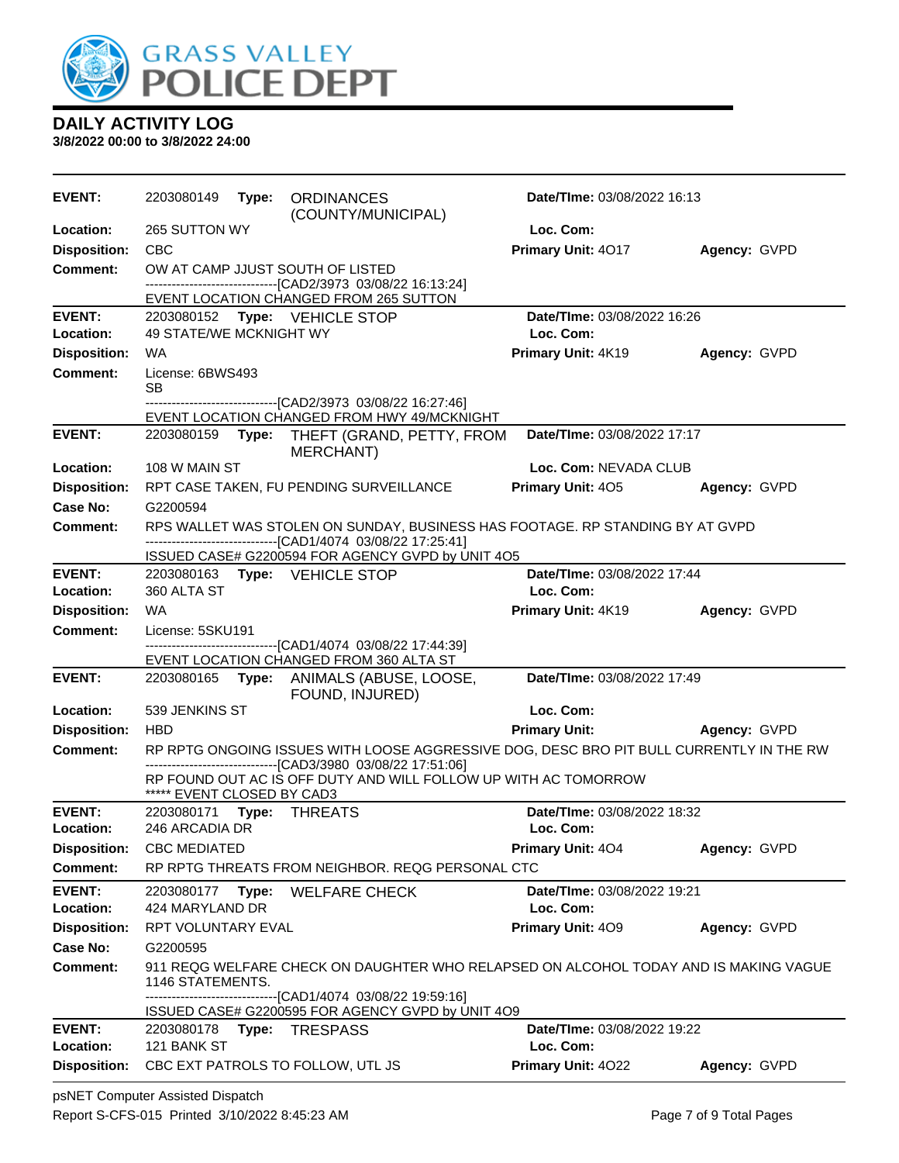

| Loc. Com:<br>Location:<br>265 SUTTON WY<br>Primary Unit: 4017<br><b>Disposition:</b><br><b>CBC</b><br>Agency: GVPD<br>OW AT CAMP JJUST SOUTH OF LISTED<br>Comment:<br>--------------------------------[CAD2/3973 03/08/22 16:13:24]<br>EVENT LOCATION CHANGED FROM 265 SUTTON<br><b>EVENT:</b><br>Date/TIme: 03/08/2022 16:26<br>2203080152 Type: VEHICLE STOP<br>Loc. Com:<br>Location:<br><b>49 STATE/WE MCKNIGHT WY</b><br><b>Disposition:</b><br>Primary Unit: 4K19<br>WA.<br>Agency: GVPD<br><b>Comment:</b><br>License: 6BWS493<br>SВ<br>-------------------------------[CAD2/3973 03/08/22 16:27:46]<br>EVENT LOCATION CHANGED FROM HWY 49/MCKNIGHT<br><b>EVENT:</b><br>Date/TIme: 03/08/2022 17:17<br>2203080159 Type: THEFT (GRAND, PETTY, FROM<br><b>MERCHANT)</b><br>Location:<br>108 W MAIN ST<br>Loc. Com: NEVADA CLUB<br><b>Disposition:</b><br><b>Primary Unit: 405</b><br>Agency: GVPD<br>RPT CASE TAKEN, FU PENDING SURVEILLANCE<br>G2200594<br>Case No:<br>RPS WALLET WAS STOLEN ON SUNDAY, BUSINESS HAS FOOTAGE. RP STANDING BY AT GVPD<br>Comment:<br>---------------------------------[CAD1/4074 03/08/22 17:25:41]<br>ISSUED CASE# G2200594 FOR AGENCY GVPD by UNIT 4O5<br><b>EVENT:</b><br>2203080163 Type: VEHICLE STOP<br>Date/TIme: 03/08/2022 17:44<br>Loc. Com:<br>Location:<br>360 ALTA ST<br><b>Disposition:</b><br>WA<br>Primary Unit: 4K19<br>Agency: GVPD<br><b>Comment:</b><br>License: 5SKU191<br>----------------------[CAD1/4074_03/08/22 17:44:39]<br>EVENT LOCATION CHANGED FROM 360 ALTA ST<br><b>EVENT:</b><br>Date/TIme: 03/08/2022 17:49<br>2203080165<br>Type:<br>ANIMALS (ABUSE, LOOSE,<br>FOUND, INJURED)<br>Loc. Com:<br>Location:<br>539 JENKINS ST<br><b>Disposition:</b><br><b>HBD</b><br><b>Primary Unit:</b><br>Agency: GVPD<br>RP RPTG ONGOING ISSUES WITH LOOSE AGGRESSIVE DOG, DESC BRO PIT BULL CURRENTLY IN THE RW<br><b>Comment:</b><br>-------------------------------[CAD3/3980 03/08/22 17:51:06]<br>RP FOUND OUT AC IS OFF DUTY AND WILL FOLLOW UP WITH AC TOMORROW<br>***** EVENT CLOSED BY CAD3<br><b>EVENT:</b><br>Date/TIme: 03/08/2022 18:32<br>2203080171<br>Type: THREATS<br>246 ARCADIA DR<br>Loc. Com:<br>Location:<br><b>Disposition:</b><br>Primary Unit: 404<br><b>CBC MEDIATED</b><br>Agency: GVPD<br><b>Comment:</b><br>RP RPTG THREATS FROM NEIGHBOR. REQG PERSONAL CTC<br><b>EVENT:</b><br>Date/TIme: 03/08/2022 19:21<br>2203080177<br>Type:<br><b>WELFARE CHECK</b><br>Loc. Com:<br>Location:<br>424 MARYLAND DR<br>Primary Unit: 409<br><b>Disposition:</b><br>RPT VOLUNTARY EVAL<br>Agency: GVPD<br>Case No:<br>G2200595<br>Comment:<br>911 REQG WELFARE CHECK ON DAUGHTER WHO RELAPSED ON ALCOHOL TODAY AND IS MAKING VAGUE<br>1146 STATEMENTS.<br>--------------------------------[CAD1/4074 03/08/22 19:59:16] | <b>EVENT:</b> | 2203080149 | Type: | <b>ORDINANCES</b><br>(COUNTY/MUNICIPAL) | <b>Date/Time: 03/08/2022 16:13</b> |  |
|-----------------------------------------------------------------------------------------------------------------------------------------------------------------------------------------------------------------------------------------------------------------------------------------------------------------------------------------------------------------------------------------------------------------------------------------------------------------------------------------------------------------------------------------------------------------------------------------------------------------------------------------------------------------------------------------------------------------------------------------------------------------------------------------------------------------------------------------------------------------------------------------------------------------------------------------------------------------------------------------------------------------------------------------------------------------------------------------------------------------------------------------------------------------------------------------------------------------------------------------------------------------------------------------------------------------------------------------------------------------------------------------------------------------------------------------------------------------------------------------------------------------------------------------------------------------------------------------------------------------------------------------------------------------------------------------------------------------------------------------------------------------------------------------------------------------------------------------------------------------------------------------------------------------------------------------------------------------------------------------------------------------------------------------------------------------------------------------------------------------------------------------------------------------------------------------------------------------------------------------------------------------------------------------------------------------------------------------------------------------------------------------------------------------------------------------------------------------------------------------------------------------------------------------------------------------------------------------------------------------------------------------------------------------------------------------------------------------------------------------------------------------------------------------------------|---------------|------------|-------|-----------------------------------------|------------------------------------|--|
|                                                                                                                                                                                                                                                                                                                                                                                                                                                                                                                                                                                                                                                                                                                                                                                                                                                                                                                                                                                                                                                                                                                                                                                                                                                                                                                                                                                                                                                                                                                                                                                                                                                                                                                                                                                                                                                                                                                                                                                                                                                                                                                                                                                                                                                                                                                                                                                                                                                                                                                                                                                                                                                                                                                                                                                                     |               |            |       |                                         |                                    |  |
|                                                                                                                                                                                                                                                                                                                                                                                                                                                                                                                                                                                                                                                                                                                                                                                                                                                                                                                                                                                                                                                                                                                                                                                                                                                                                                                                                                                                                                                                                                                                                                                                                                                                                                                                                                                                                                                                                                                                                                                                                                                                                                                                                                                                                                                                                                                                                                                                                                                                                                                                                                                                                                                                                                                                                                                                     |               |            |       |                                         |                                    |  |
|                                                                                                                                                                                                                                                                                                                                                                                                                                                                                                                                                                                                                                                                                                                                                                                                                                                                                                                                                                                                                                                                                                                                                                                                                                                                                                                                                                                                                                                                                                                                                                                                                                                                                                                                                                                                                                                                                                                                                                                                                                                                                                                                                                                                                                                                                                                                                                                                                                                                                                                                                                                                                                                                                                                                                                                                     |               |            |       |                                         |                                    |  |
|                                                                                                                                                                                                                                                                                                                                                                                                                                                                                                                                                                                                                                                                                                                                                                                                                                                                                                                                                                                                                                                                                                                                                                                                                                                                                                                                                                                                                                                                                                                                                                                                                                                                                                                                                                                                                                                                                                                                                                                                                                                                                                                                                                                                                                                                                                                                                                                                                                                                                                                                                                                                                                                                                                                                                                                                     |               |            |       |                                         |                                    |  |
|                                                                                                                                                                                                                                                                                                                                                                                                                                                                                                                                                                                                                                                                                                                                                                                                                                                                                                                                                                                                                                                                                                                                                                                                                                                                                                                                                                                                                                                                                                                                                                                                                                                                                                                                                                                                                                                                                                                                                                                                                                                                                                                                                                                                                                                                                                                                                                                                                                                                                                                                                                                                                                                                                                                                                                                                     |               |            |       |                                         |                                    |  |
|                                                                                                                                                                                                                                                                                                                                                                                                                                                                                                                                                                                                                                                                                                                                                                                                                                                                                                                                                                                                                                                                                                                                                                                                                                                                                                                                                                                                                                                                                                                                                                                                                                                                                                                                                                                                                                                                                                                                                                                                                                                                                                                                                                                                                                                                                                                                                                                                                                                                                                                                                                                                                                                                                                                                                                                                     |               |            |       |                                         |                                    |  |
|                                                                                                                                                                                                                                                                                                                                                                                                                                                                                                                                                                                                                                                                                                                                                                                                                                                                                                                                                                                                                                                                                                                                                                                                                                                                                                                                                                                                                                                                                                                                                                                                                                                                                                                                                                                                                                                                                                                                                                                                                                                                                                                                                                                                                                                                                                                                                                                                                                                                                                                                                                                                                                                                                                                                                                                                     |               |            |       |                                         |                                    |  |
|                                                                                                                                                                                                                                                                                                                                                                                                                                                                                                                                                                                                                                                                                                                                                                                                                                                                                                                                                                                                                                                                                                                                                                                                                                                                                                                                                                                                                                                                                                                                                                                                                                                                                                                                                                                                                                                                                                                                                                                                                                                                                                                                                                                                                                                                                                                                                                                                                                                                                                                                                                                                                                                                                                                                                                                                     |               |            |       |                                         |                                    |  |
|                                                                                                                                                                                                                                                                                                                                                                                                                                                                                                                                                                                                                                                                                                                                                                                                                                                                                                                                                                                                                                                                                                                                                                                                                                                                                                                                                                                                                                                                                                                                                                                                                                                                                                                                                                                                                                                                                                                                                                                                                                                                                                                                                                                                                                                                                                                                                                                                                                                                                                                                                                                                                                                                                                                                                                                                     |               |            |       |                                         |                                    |  |
|                                                                                                                                                                                                                                                                                                                                                                                                                                                                                                                                                                                                                                                                                                                                                                                                                                                                                                                                                                                                                                                                                                                                                                                                                                                                                                                                                                                                                                                                                                                                                                                                                                                                                                                                                                                                                                                                                                                                                                                                                                                                                                                                                                                                                                                                                                                                                                                                                                                                                                                                                                                                                                                                                                                                                                                                     |               |            |       |                                         |                                    |  |
|                                                                                                                                                                                                                                                                                                                                                                                                                                                                                                                                                                                                                                                                                                                                                                                                                                                                                                                                                                                                                                                                                                                                                                                                                                                                                                                                                                                                                                                                                                                                                                                                                                                                                                                                                                                                                                                                                                                                                                                                                                                                                                                                                                                                                                                                                                                                                                                                                                                                                                                                                                                                                                                                                                                                                                                                     |               |            |       |                                         |                                    |  |
|                                                                                                                                                                                                                                                                                                                                                                                                                                                                                                                                                                                                                                                                                                                                                                                                                                                                                                                                                                                                                                                                                                                                                                                                                                                                                                                                                                                                                                                                                                                                                                                                                                                                                                                                                                                                                                                                                                                                                                                                                                                                                                                                                                                                                                                                                                                                                                                                                                                                                                                                                                                                                                                                                                                                                                                                     |               |            |       |                                         |                                    |  |
|                                                                                                                                                                                                                                                                                                                                                                                                                                                                                                                                                                                                                                                                                                                                                                                                                                                                                                                                                                                                                                                                                                                                                                                                                                                                                                                                                                                                                                                                                                                                                                                                                                                                                                                                                                                                                                                                                                                                                                                                                                                                                                                                                                                                                                                                                                                                                                                                                                                                                                                                                                                                                                                                                                                                                                                                     |               |            |       |                                         |                                    |  |
|                                                                                                                                                                                                                                                                                                                                                                                                                                                                                                                                                                                                                                                                                                                                                                                                                                                                                                                                                                                                                                                                                                                                                                                                                                                                                                                                                                                                                                                                                                                                                                                                                                                                                                                                                                                                                                                                                                                                                                                                                                                                                                                                                                                                                                                                                                                                                                                                                                                                                                                                                                                                                                                                                                                                                                                                     |               |            |       |                                         |                                    |  |
|                                                                                                                                                                                                                                                                                                                                                                                                                                                                                                                                                                                                                                                                                                                                                                                                                                                                                                                                                                                                                                                                                                                                                                                                                                                                                                                                                                                                                                                                                                                                                                                                                                                                                                                                                                                                                                                                                                                                                                                                                                                                                                                                                                                                                                                                                                                                                                                                                                                                                                                                                                                                                                                                                                                                                                                                     |               |            |       |                                         |                                    |  |
|                                                                                                                                                                                                                                                                                                                                                                                                                                                                                                                                                                                                                                                                                                                                                                                                                                                                                                                                                                                                                                                                                                                                                                                                                                                                                                                                                                                                                                                                                                                                                                                                                                                                                                                                                                                                                                                                                                                                                                                                                                                                                                                                                                                                                                                                                                                                                                                                                                                                                                                                                                                                                                                                                                                                                                                                     |               |            |       |                                         |                                    |  |
|                                                                                                                                                                                                                                                                                                                                                                                                                                                                                                                                                                                                                                                                                                                                                                                                                                                                                                                                                                                                                                                                                                                                                                                                                                                                                                                                                                                                                                                                                                                                                                                                                                                                                                                                                                                                                                                                                                                                                                                                                                                                                                                                                                                                                                                                                                                                                                                                                                                                                                                                                                                                                                                                                                                                                                                                     |               |            |       |                                         |                                    |  |
|                                                                                                                                                                                                                                                                                                                                                                                                                                                                                                                                                                                                                                                                                                                                                                                                                                                                                                                                                                                                                                                                                                                                                                                                                                                                                                                                                                                                                                                                                                                                                                                                                                                                                                                                                                                                                                                                                                                                                                                                                                                                                                                                                                                                                                                                                                                                                                                                                                                                                                                                                                                                                                                                                                                                                                                                     |               |            |       |                                         |                                    |  |
|                                                                                                                                                                                                                                                                                                                                                                                                                                                                                                                                                                                                                                                                                                                                                                                                                                                                                                                                                                                                                                                                                                                                                                                                                                                                                                                                                                                                                                                                                                                                                                                                                                                                                                                                                                                                                                                                                                                                                                                                                                                                                                                                                                                                                                                                                                                                                                                                                                                                                                                                                                                                                                                                                                                                                                                                     |               |            |       |                                         |                                    |  |
|                                                                                                                                                                                                                                                                                                                                                                                                                                                                                                                                                                                                                                                                                                                                                                                                                                                                                                                                                                                                                                                                                                                                                                                                                                                                                                                                                                                                                                                                                                                                                                                                                                                                                                                                                                                                                                                                                                                                                                                                                                                                                                                                                                                                                                                                                                                                                                                                                                                                                                                                                                                                                                                                                                                                                                                                     |               |            |       |                                         |                                    |  |
|                                                                                                                                                                                                                                                                                                                                                                                                                                                                                                                                                                                                                                                                                                                                                                                                                                                                                                                                                                                                                                                                                                                                                                                                                                                                                                                                                                                                                                                                                                                                                                                                                                                                                                                                                                                                                                                                                                                                                                                                                                                                                                                                                                                                                                                                                                                                                                                                                                                                                                                                                                                                                                                                                                                                                                                                     |               |            |       |                                         |                                    |  |
|                                                                                                                                                                                                                                                                                                                                                                                                                                                                                                                                                                                                                                                                                                                                                                                                                                                                                                                                                                                                                                                                                                                                                                                                                                                                                                                                                                                                                                                                                                                                                                                                                                                                                                                                                                                                                                                                                                                                                                                                                                                                                                                                                                                                                                                                                                                                                                                                                                                                                                                                                                                                                                                                                                                                                                                                     |               |            |       |                                         |                                    |  |
|                                                                                                                                                                                                                                                                                                                                                                                                                                                                                                                                                                                                                                                                                                                                                                                                                                                                                                                                                                                                                                                                                                                                                                                                                                                                                                                                                                                                                                                                                                                                                                                                                                                                                                                                                                                                                                                                                                                                                                                                                                                                                                                                                                                                                                                                                                                                                                                                                                                                                                                                                                                                                                                                                                                                                                                                     |               |            |       |                                         |                                    |  |
|                                                                                                                                                                                                                                                                                                                                                                                                                                                                                                                                                                                                                                                                                                                                                                                                                                                                                                                                                                                                                                                                                                                                                                                                                                                                                                                                                                                                                                                                                                                                                                                                                                                                                                                                                                                                                                                                                                                                                                                                                                                                                                                                                                                                                                                                                                                                                                                                                                                                                                                                                                                                                                                                                                                                                                                                     |               |            |       |                                         |                                    |  |
|                                                                                                                                                                                                                                                                                                                                                                                                                                                                                                                                                                                                                                                                                                                                                                                                                                                                                                                                                                                                                                                                                                                                                                                                                                                                                                                                                                                                                                                                                                                                                                                                                                                                                                                                                                                                                                                                                                                                                                                                                                                                                                                                                                                                                                                                                                                                                                                                                                                                                                                                                                                                                                                                                                                                                                                                     |               |            |       |                                         |                                    |  |
|                                                                                                                                                                                                                                                                                                                                                                                                                                                                                                                                                                                                                                                                                                                                                                                                                                                                                                                                                                                                                                                                                                                                                                                                                                                                                                                                                                                                                                                                                                                                                                                                                                                                                                                                                                                                                                                                                                                                                                                                                                                                                                                                                                                                                                                                                                                                                                                                                                                                                                                                                                                                                                                                                                                                                                                                     |               |            |       |                                         |                                    |  |
|                                                                                                                                                                                                                                                                                                                                                                                                                                                                                                                                                                                                                                                                                                                                                                                                                                                                                                                                                                                                                                                                                                                                                                                                                                                                                                                                                                                                                                                                                                                                                                                                                                                                                                                                                                                                                                                                                                                                                                                                                                                                                                                                                                                                                                                                                                                                                                                                                                                                                                                                                                                                                                                                                                                                                                                                     |               |            |       |                                         |                                    |  |
|                                                                                                                                                                                                                                                                                                                                                                                                                                                                                                                                                                                                                                                                                                                                                                                                                                                                                                                                                                                                                                                                                                                                                                                                                                                                                                                                                                                                                                                                                                                                                                                                                                                                                                                                                                                                                                                                                                                                                                                                                                                                                                                                                                                                                                                                                                                                                                                                                                                                                                                                                                                                                                                                                                                                                                                                     |               |            |       |                                         |                                    |  |
|                                                                                                                                                                                                                                                                                                                                                                                                                                                                                                                                                                                                                                                                                                                                                                                                                                                                                                                                                                                                                                                                                                                                                                                                                                                                                                                                                                                                                                                                                                                                                                                                                                                                                                                                                                                                                                                                                                                                                                                                                                                                                                                                                                                                                                                                                                                                                                                                                                                                                                                                                                                                                                                                                                                                                                                                     |               |            |       |                                         |                                    |  |
|                                                                                                                                                                                                                                                                                                                                                                                                                                                                                                                                                                                                                                                                                                                                                                                                                                                                                                                                                                                                                                                                                                                                                                                                                                                                                                                                                                                                                                                                                                                                                                                                                                                                                                                                                                                                                                                                                                                                                                                                                                                                                                                                                                                                                                                                                                                                                                                                                                                                                                                                                                                                                                                                                                                                                                                                     |               |            |       |                                         |                                    |  |
|                                                                                                                                                                                                                                                                                                                                                                                                                                                                                                                                                                                                                                                                                                                                                                                                                                                                                                                                                                                                                                                                                                                                                                                                                                                                                                                                                                                                                                                                                                                                                                                                                                                                                                                                                                                                                                                                                                                                                                                                                                                                                                                                                                                                                                                                                                                                                                                                                                                                                                                                                                                                                                                                                                                                                                                                     |               |            |       |                                         |                                    |  |
|                                                                                                                                                                                                                                                                                                                                                                                                                                                                                                                                                                                                                                                                                                                                                                                                                                                                                                                                                                                                                                                                                                                                                                                                                                                                                                                                                                                                                                                                                                                                                                                                                                                                                                                                                                                                                                                                                                                                                                                                                                                                                                                                                                                                                                                                                                                                                                                                                                                                                                                                                                                                                                                                                                                                                                                                     |               |            |       |                                         |                                    |  |
|                                                                                                                                                                                                                                                                                                                                                                                                                                                                                                                                                                                                                                                                                                                                                                                                                                                                                                                                                                                                                                                                                                                                                                                                                                                                                                                                                                                                                                                                                                                                                                                                                                                                                                                                                                                                                                                                                                                                                                                                                                                                                                                                                                                                                                                                                                                                                                                                                                                                                                                                                                                                                                                                                                                                                                                                     |               |            |       |                                         |                                    |  |
|                                                                                                                                                                                                                                                                                                                                                                                                                                                                                                                                                                                                                                                                                                                                                                                                                                                                                                                                                                                                                                                                                                                                                                                                                                                                                                                                                                                                                                                                                                                                                                                                                                                                                                                                                                                                                                                                                                                                                                                                                                                                                                                                                                                                                                                                                                                                                                                                                                                                                                                                                                                                                                                                                                                                                                                                     |               |            |       |                                         |                                    |  |
|                                                                                                                                                                                                                                                                                                                                                                                                                                                                                                                                                                                                                                                                                                                                                                                                                                                                                                                                                                                                                                                                                                                                                                                                                                                                                                                                                                                                                                                                                                                                                                                                                                                                                                                                                                                                                                                                                                                                                                                                                                                                                                                                                                                                                                                                                                                                                                                                                                                                                                                                                                                                                                                                                                                                                                                                     |               |            |       |                                         |                                    |  |
|                                                                                                                                                                                                                                                                                                                                                                                                                                                                                                                                                                                                                                                                                                                                                                                                                                                                                                                                                                                                                                                                                                                                                                                                                                                                                                                                                                                                                                                                                                                                                                                                                                                                                                                                                                                                                                                                                                                                                                                                                                                                                                                                                                                                                                                                                                                                                                                                                                                                                                                                                                                                                                                                                                                                                                                                     |               |            |       |                                         |                                    |  |
| ISSUED CASE# G2200595 FOR AGENCY GVPD by UNIT 4O9<br><b>EVENT:</b><br>Date/TIme: 03/08/2022 19:22                                                                                                                                                                                                                                                                                                                                                                                                                                                                                                                                                                                                                                                                                                                                                                                                                                                                                                                                                                                                                                                                                                                                                                                                                                                                                                                                                                                                                                                                                                                                                                                                                                                                                                                                                                                                                                                                                                                                                                                                                                                                                                                                                                                                                                                                                                                                                                                                                                                                                                                                                                                                                                                                                                   |               |            |       |                                         |                                    |  |
| 121 BANK ST<br>Loc. Com:<br>Location:                                                                                                                                                                                                                                                                                                                                                                                                                                                                                                                                                                                                                                                                                                                                                                                                                                                                                                                                                                                                                                                                                                                                                                                                                                                                                                                                                                                                                                                                                                                                                                                                                                                                                                                                                                                                                                                                                                                                                                                                                                                                                                                                                                                                                                                                                                                                                                                                                                                                                                                                                                                                                                                                                                                                                               |               |            |       |                                         |                                    |  |
| <b>Disposition:</b><br>Primary Unit: 4022<br>CBC EXT PATROLS TO FOLLOW, UTL JS<br>Agency: GVPD                                                                                                                                                                                                                                                                                                                                                                                                                                                                                                                                                                                                                                                                                                                                                                                                                                                                                                                                                                                                                                                                                                                                                                                                                                                                                                                                                                                                                                                                                                                                                                                                                                                                                                                                                                                                                                                                                                                                                                                                                                                                                                                                                                                                                                                                                                                                                                                                                                                                                                                                                                                                                                                                                                      |               |            |       |                                         |                                    |  |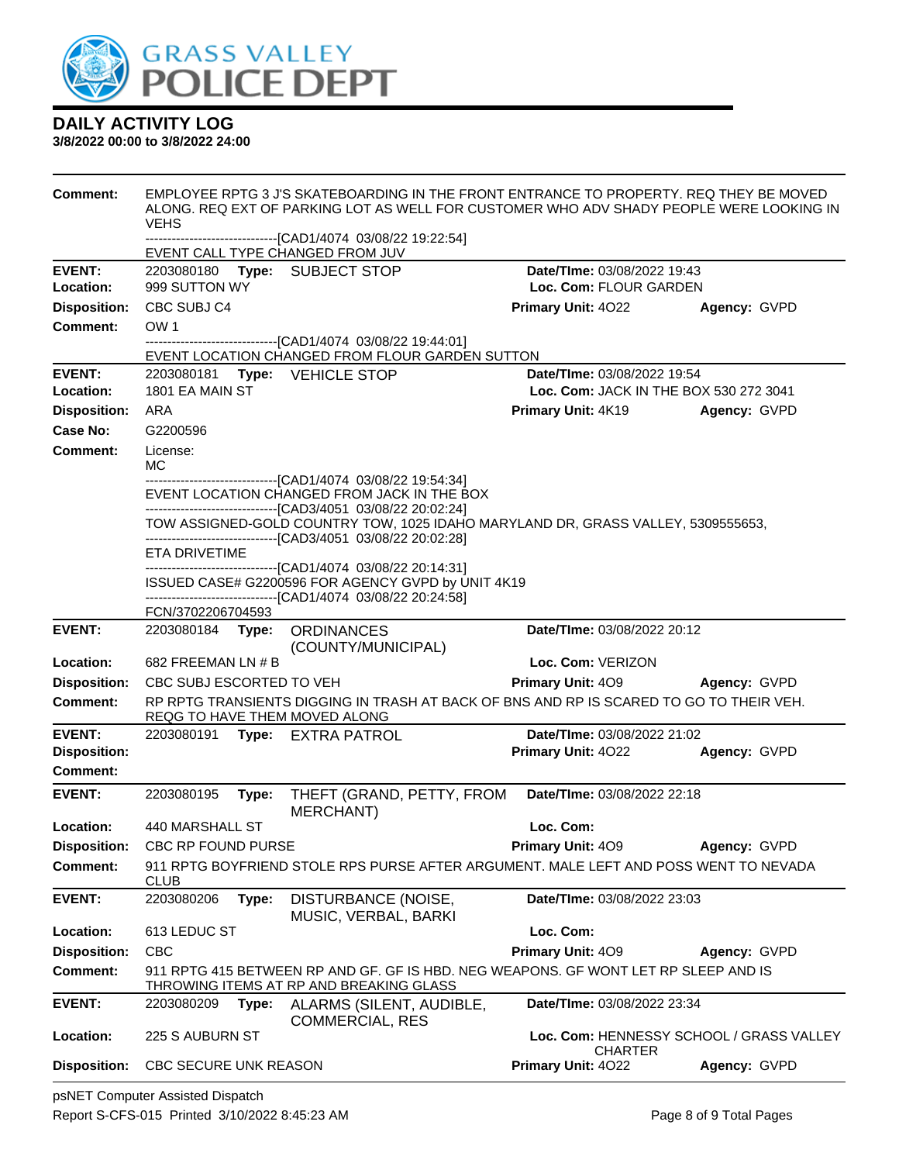

#### **3/8/2022 00:00 to 3/8/2022 24:00**

| <b>Comment:</b>     | EMPLOYEE RPTG 3 J'S SKATEBOARDING IN THE FRONT ENTRANCE TO PROPERTY. REQ THEY BE MOVED<br>ALONG. REQ EXT OF PARKING LOT AS WELL FOR CUSTOMER WHO ADV SHADY PEOPLE WERE LOOKING IN<br><b>VEHS</b> |       |                                                                                                                                                                             |                                          |              |
|---------------------|--------------------------------------------------------------------------------------------------------------------------------------------------------------------------------------------------|-------|-----------------------------------------------------------------------------------------------------------------------------------------------------------------------------|------------------------------------------|--------------|
|                     |                                                                                                                                                                                                  |       | ----------------------------[CAD1/4074_03/08/22 19:22:54]<br>EVENT CALL TYPE CHANGED FROM JUV                                                                               |                                          |              |
| <b>EVENT:</b>       | 2203080180                                                                                                                                                                                       |       | Type: SUBJECT STOP                                                                                                                                                          | Date/TIme: 03/08/2022 19:43              |              |
| Location:           | 999 SUTTON WY                                                                                                                                                                                    |       |                                                                                                                                                                             | Loc. Com: FLOUR GARDEN                   |              |
| <b>Disposition:</b> | CBC SUBJ C4                                                                                                                                                                                      |       |                                                                                                                                                                             | Primary Unit: 4022                       | Agency: GVPD |
| <b>Comment:</b>     | OW <sub>1</sub>                                                                                                                                                                                  |       |                                                                                                                                                                             |                                          |              |
|                     |                                                                                                                                                                                                  |       | -------------------------------[CAD1/4074_03/08/22 19:44:01]<br>EVENT LOCATION CHANGED FROM FLOUR GARDEN SUTTON                                                             |                                          |              |
| <b>EVENT:</b>       |                                                                                                                                                                                                  |       | 2203080181 Type: VEHICLE STOP                                                                                                                                               | Date/TIme: 03/08/2022 19:54              |              |
| Location:           | 1801 EA MAIN ST                                                                                                                                                                                  |       |                                                                                                                                                                             | Loc. Com: JACK IN THE BOX 530 272 3041   |              |
| <b>Disposition:</b> | ARA                                                                                                                                                                                              |       |                                                                                                                                                                             | Primary Unit: 4K19                       | Agency: GVPD |
| Case No:            | G2200596                                                                                                                                                                                         |       |                                                                                                                                                                             |                                          |              |
| Comment:            | License:<br>МC                                                                                                                                                                                   |       |                                                                                                                                                                             |                                          |              |
|                     |                                                                                                                                                                                                  |       | -------------------------------[CAD1/4074 03/08/22 19:54:34]<br>EVENT LOCATION CHANGED FROM JACK IN THE BOX<br>-------------------------------[CAD3/4051 03/08/22 20:02:24] |                                          |              |
|                     |                                                                                                                                                                                                  |       | TOW ASSIGNED-GOLD COUNTRY TOW, 1025 IDAHO MARYLAND DR, GRASS VALLEY, 5309555653,<br>-------------------------------[CAD3/4051 03/08/22 20:02:28]                            |                                          |              |
|                     | <b>ETA DRIVETIME</b>                                                                                                                                                                             |       | ------------------------------[CAD1/4074_03/08/22 20:14:31]                                                                                                                 |                                          |              |
|                     |                                                                                                                                                                                                  |       | ISSUED CASE# G2200596 FOR AGENCY GVPD by UNIT 4K19<br>------------------------------[CAD1/4074_03/08/22_20:24:58]                                                           |                                          |              |
|                     | FCN/3702206704593                                                                                                                                                                                |       |                                                                                                                                                                             |                                          |              |
| <b>EVENT:</b>       | 2203080184 Type:                                                                                                                                                                                 |       | <b>ORDINANCES</b><br>(COUNTY/MUNICIPAL)                                                                                                                                     | Date/TIme: 03/08/2022 20:12              |              |
| Location:           | 682 FREEMAN LN $# B$                                                                                                                                                                             |       |                                                                                                                                                                             | Loc. Com: VERIZON                        |              |
| <b>Disposition:</b> | CBC SUBJ ESCORTED TO VEH                                                                                                                                                                         |       |                                                                                                                                                                             | <b>Primary Unit: 409</b>                 | Agency: GVPD |
| Comment:            |                                                                                                                                                                                                  |       | RP RPTG TRANSIENTS DIGGING IN TRASH AT BACK OF BNS AND RP IS SCARED TO GO TO THEIR VEH.<br>REQG TO HAVE THEM MOVED ALONG                                                    |                                          |              |
| <b>EVENT:</b>       |                                                                                                                                                                                                  |       | 2203080191 Type: EXTRA PATROL                                                                                                                                               | Date/TIme: 03/08/2022 21:02              |              |
| <b>Disposition:</b> |                                                                                                                                                                                                  |       |                                                                                                                                                                             | Primary Unit: 4022                       | Agency: GVPD |
| Comment:            |                                                                                                                                                                                                  |       |                                                                                                                                                                             |                                          |              |
| <b>EVENT:</b>       | 2203080195                                                                                                                                                                                       | Type: | THEFT (GRAND, PETTY, FROM<br><b>MERCHANT)</b>                                                                                                                               | Date/TIme: 03/08/2022 22:18              |              |
| Location:           | 440 MARSHALL ST                                                                                                                                                                                  |       |                                                                                                                                                                             | Loc. Com:                                |              |
| <b>Disposition:</b> | CBC RP FOUND PURSE                                                                                                                                                                               |       |                                                                                                                                                                             | Primary Unit: 409                        | Agency: GVPD |
| <b>Comment:</b>     | <b>CLUB</b>                                                                                                                                                                                      |       | 911 RPTG BOYFRIEND STOLE RPS PURSE AFTER ARGUMENT. MALE LEFT AND POSS WENT TO NEVADA                                                                                        |                                          |              |
| <b>EVENT:</b>       | 2203080206                                                                                                                                                                                       | Type: | DISTURBANCE (NOISE,<br>MUSIC, VERBAL, BARKI                                                                                                                                 | Date/TIme: 03/08/2022 23:03              |              |
| Location:           | 613 LEDUC ST                                                                                                                                                                                     |       |                                                                                                                                                                             | Loc. Com:                                |              |
| <b>Disposition:</b> | <b>CBC</b>                                                                                                                                                                                       |       |                                                                                                                                                                             | Primary Unit: 409                        | Agency: GVPD |
| <b>Comment:</b>     |                                                                                                                                                                                                  |       | 911 RPTG 415 BETWEEN RP AND GF. GF IS HBD. NEG WEAPONS. GF WONT LET RP SLEEP AND IS<br>THROWING ITEMS AT RP AND BREAKING GLASS                                              |                                          |              |
| <b>EVENT:</b>       | 2203080209                                                                                                                                                                                       | Type: | ALARMS (SILENT, AUDIBLE,<br><b>COMMERCIAL, RES</b>                                                                                                                          | Date/TIme: 03/08/2022 23:34              |              |
| Location:           | 225 S AUBURN ST                                                                                                                                                                                  |       |                                                                                                                                                                             | Loc. Com: HENNESSY SCHOOL / GRASS VALLEY |              |
| <b>Disposition:</b> | CBC SECURE UNK REASON                                                                                                                                                                            |       |                                                                                                                                                                             | <b>CHARTER</b><br>Primary Unit: 4022     | Agency: GVPD |

psNET Computer Assisted Dispatch Report S-CFS-015 Printed 3/10/2022 8:45:23 AM Page 8 of 9 Total Pages